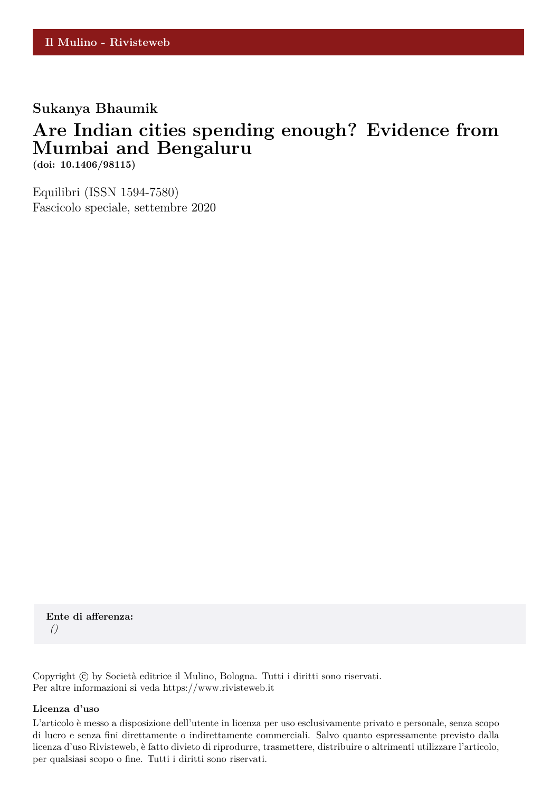## **Sukanya Bhaumik**

# **Are Indian cities spending enough? Evidence from Mumbai and Bengaluru**

**(doi: 10.1406/98115)**

Equilibri (ISSN 1594-7580) Fascicolo speciale, settembre 2020

**Ente di afferenza:** *()*

Copyright © by Società editrice il Mulino, Bologna. Tutti i diritti sono riservati. Per altre informazioni si veda https://www.rivisteweb.it

#### **Licenza d'uso**

L'articolo è messo a disposizione dell'utente in licenza per uso esclusivamente privato e personale, senza scopo di lucro e senza fini direttamente o indirettamente commerciali. Salvo quanto espressamente previsto dalla licenza d'uso Rivisteweb, è fatto divieto di riprodurre, trasmettere, distribuire o altrimenti utilizzare l'articolo, per qualsiasi scopo o fine. Tutti i diritti sono riservati.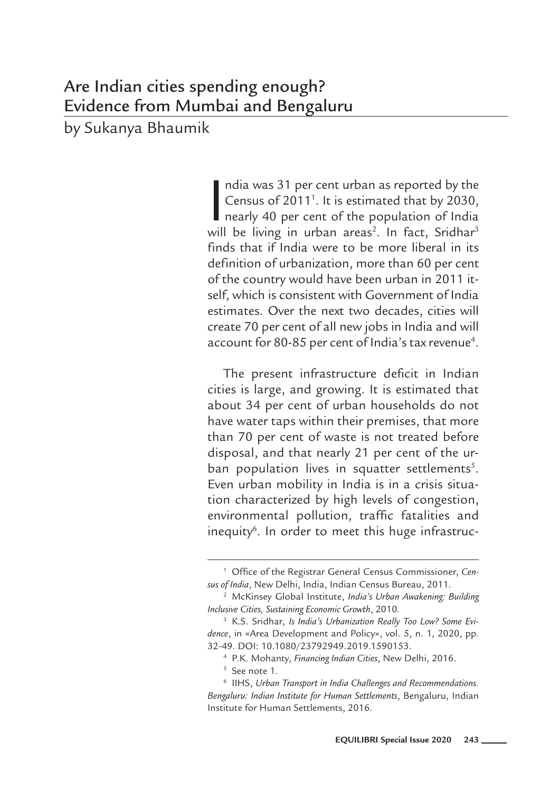by Sukanya Bhaumik

ndia was 31 per cent urban as reported by the<br>Census of 2011<sup>1</sup>. It is estimated that by 2030,<br>nearly 40 per cent of the population of India<br>will be living in urban areas<sup>2</sup>. In fact, Sridhar<sup>3</sup> ndia was 31 per cent urban as reported by the Census of 2011<sup>1</sup>. It is estimated that by 2030, nearly 40 per cent of the population of India finds that if India were to be more liberal in its definition of urbanization, more than 60 per cent of the country would have been urban in 2011 itself, which is consistent with Government of India estimates. Over the next two decades, cities will create 70 per cent of all new jobs in India and will account for 80-85 per cent of India's tax revenue<sup>4</sup>.

The present infrastructure deficit in Indian cities is large, and growing. It is estimated that about 34 per cent of urban households do not have water taps within their premises, that more than 70 per cent of waste is not treated before disposal, and that nearly 21 per cent of the urban population lives in squatter settlements<sup>5</sup>. Even urban mobility in India is in a crisis situation characterized by high levels of congestion, environmental pollution, traffic fatalities and inequity<sup>6</sup>. In order to meet this huge infrastruc-

<sup>1</sup> Office of the Registrar General Census Commissioner, *Census of India*, New Delhi, India, Indian Census Bureau, 2011.

<sup>2</sup> McKinsey Global Institute, *India's Urban Awakening: Building Inclusive Cities, Sustaining Economic Growth*, 2010*.*

<sup>3</sup> K.S. Sridhar, *Is India's Urbanization Really Too Low? Some Evidence*, in «Area Development and Policy», vol. 5, n. 1, 2020, pp. 32-49. DOI: 10.1080/23792949.2019.1590153.

<sup>&</sup>lt;sup>4</sup> P.K. Mohanty, *Financing Indian Cities*, New Delhi, 2016.<br><sup>5</sup> See note 1.

<sup>6</sup> IIHS, *Urban Transport in India Challenges and Recommendations. Bengaluru: Indian Institute for Human Settlements*, Bengaluru, Indian Institute for Human Settlements, 2016.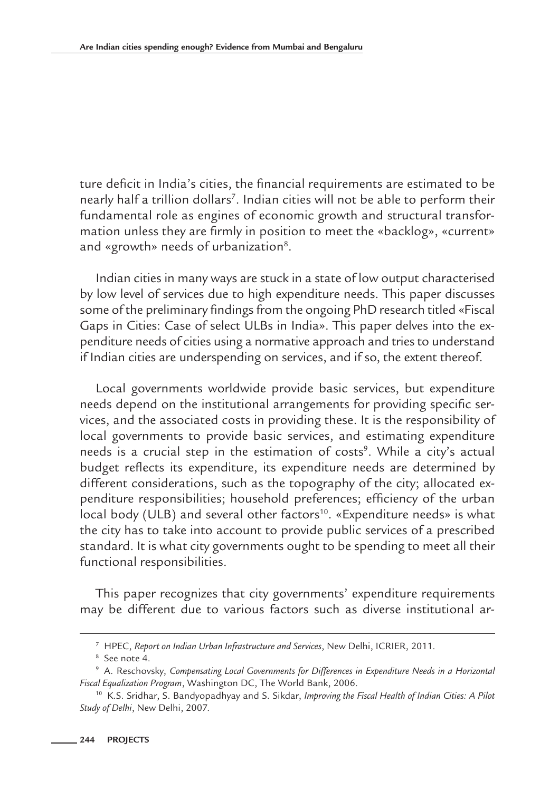ture deficit in India's cities, the financial requirements are estimated to be nearly half a trillion dollars<sup>7</sup>. Indian cities will not be able to perform their fundamental role as engines of economic growth and structural transformation unless they are firmly in position to meet the «backlog», «current» and «growth» needs of urbanization<sup>8</sup>.

Indian cities in many ways are stuck in a state of low output characterised by low level of services due to high expenditure needs. This paper discusses some of the preliminary findings from the ongoing PhD research titled «Fiscal Gaps in Cities: Case of select ULBs in India». This paper delves into the expenditure needs of cities using a normative approach and tries to understand if Indian cities are underspending on services, and if so, the extent thereof.

Local governments worldwide provide basic services, but expenditure needs depend on the institutional arrangements for providing specific services, and the associated costs in providing these. It is the responsibility of local governments to provide basic services, and estimating expenditure needs is a crucial step in the estimation of costs<sup>9</sup>. While a city's actual budget reflects its expenditure, its expenditure needs are determined by different considerations, such as the topography of the city; allocated expenditure responsibilities; household preferences; efficiency of the urban local body (ULB) and several other factors<sup>10</sup>. «Expenditure needs» is what the city has to take into account to provide public services of a prescribed standard. It is what city governments ought to be spending to meet all their functional responsibilities.

This paper recognizes that city governments' expenditure requirements may be different due to various factors such as diverse institutional ar-

<sup>7</sup> HPEC, *Report on Indian Urban Infrastructure and Services*, New Delhi, ICRIER, 2011.

<sup>8</sup> See note 4.

<sup>9</sup> A. Reschovsky, *Compensating Local Governments for Differences in Expenditure Needs in a Horizontal Fiscal Equalization Program*, Washington DC, The World Bank, 2006.

<sup>10</sup> K.S. Sridhar, S. Bandyopadhyay and S. Sikdar, *Improving the Fiscal Health of Indian Cities: A Pilot Study of Delhi*, New Delhi, 2007.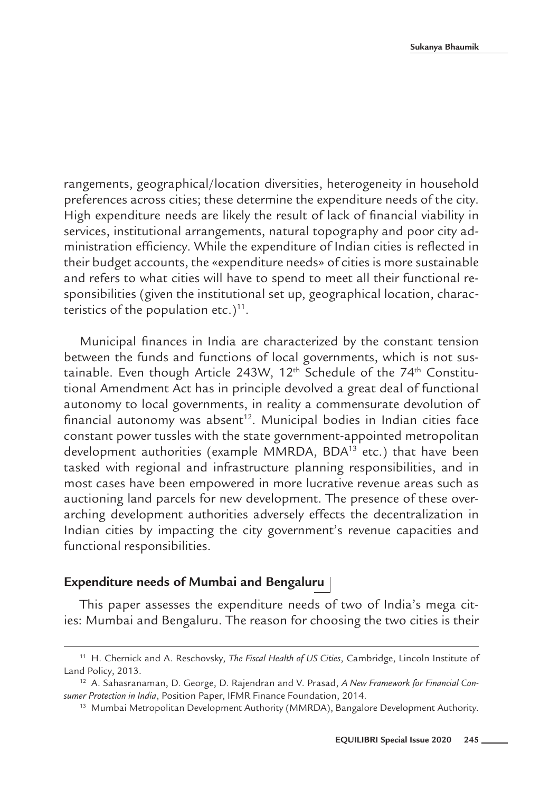rangements, geographical/location diversities, heterogeneity in household preferences across cities; these determine the expenditure needs of the city. High expenditure needs are likely the result of lack of financial viability in services, institutional arrangements, natural topography and poor city administration efficiency. While the expenditure of Indian cities is reflected in their budget accounts, the «expenditure needs» of cities is more sustainable and refers to what cities will have to spend to meet all their functional responsibilities (given the institutional set up, geographical location, characteristics of the population etc.) $11$ .

Municipal finances in India are characterized by the constant tension between the funds and functions of local governments, which is not sustainable. Even though Article 243W,  $12<sup>th</sup>$  Schedule of the 74<sup>th</sup> Constitutional Amendment Act has in principle devolved a great deal of functional autonomy to local governments, in reality a commensurate devolution of financial autonomy was absent<sup>12</sup>. Municipal bodies in Indian cities face constant power tussles with the state government-appointed metropolitan development authorities (example MMRDA, BDA<sup>13</sup> etc.) that have been tasked with regional and infrastructure planning responsibilities, and in most cases have been empowered in more lucrative revenue areas such as auctioning land parcels for new development. The presence of these overarching development authorities adversely effects the decentralization in Indian cities by impacting the city government's revenue capacities and functional responsibilities.

### **Expenditure needs of Mumbai and Bengaluru**

This paper assesses the expenditure needs of two of India's mega cities: Mumbai and Bengaluru. The reason for choosing the two cities is their

<sup>11</sup> H. Chernick and A. Reschovsky, *The Fiscal Health of US Cities*, Cambridge, Lincoln Institute of Land Policy, 2013.

<sup>12</sup> A. Sahasranaman, D. George, D. Rajendran and V. Prasad, *A New Framework for Financial Consumer Protection in India*, Position Paper, IFMR Finance Foundation, 2014.

<sup>&</sup>lt;sup>13</sup> Mumbai Metropolitan Development Authority (MMRDA), Bangalore Development Authority.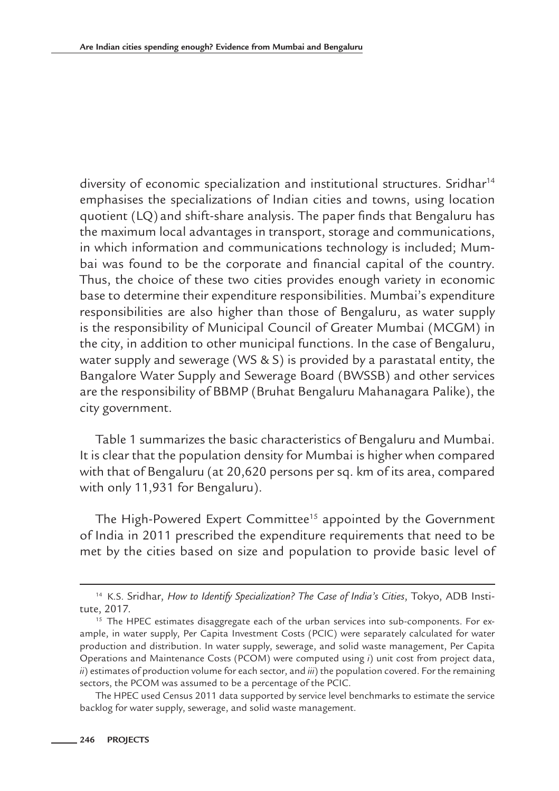diversity of economic specialization and institutional structures. Sridhar<sup>14</sup> emphasises the specializations of Indian cities and towns, using location quotient (LQ) and shift-share analysis. The paper finds that Bengaluru has the maximum local advantages in transport, storage and communications, in which information and communications technology is included; Mumbai was found to be the corporate and financial capital of the country. Thus, the choice of these two cities provides enough variety in economic base to determine their expenditure responsibilities. Mumbai's expenditure responsibilities are also higher than those of Bengaluru, as water supply is the responsibility of Municipal Council of Greater Mumbai (MCGM) in the city, in addition to other municipal functions. In the case of Bengaluru, water supply and sewerage (WS & S) is provided by a parastatal entity, the Bangalore Water Supply and Sewerage Board (BWSSB) and other services are the responsibility of BBMP (Bruhat Bengaluru Mahanagara Palike), the city government.

Table 1 summarizes the basic characteristics of Bengaluru and Mumbai. It is clear that the population density for Mumbai is higher when compared with that of Bengaluru (at 20,620 persons per sq. km of its area, compared with only 11,931 for Bengaluru).

The High-Powered Expert Committee<sup>15</sup> appointed by the Government of India in 2011 prescribed the expenditure requirements that need to be met by the cities based on size and population to provide basic level of

<sup>14</sup> K.S. Sridhar, *How to Identify Specialization? The Case of India's Cities*, Tokyo, ADB Institute, 2017.

<sup>&</sup>lt;sup>15</sup> The HPEC estimates disaggregate each of the urban services into sub-components. For example, in water supply, Per Capita Investment Costs (PCIC) were separately calculated for water production and distribution. In water supply, sewerage, and solid waste management, Per Capita Operations and Maintenance Costs (PCOM) were computed using *i*) unit cost from project data, *ii*) estimates of production volume for each sector, and *iii*) the population covered. For the remaining sectors, the PCOM was assumed to be a percentage of the PCIC.

The HPEC used Census 2011 data supported by service level benchmarks to estimate the service backlog for water supply, sewerage, and solid waste management.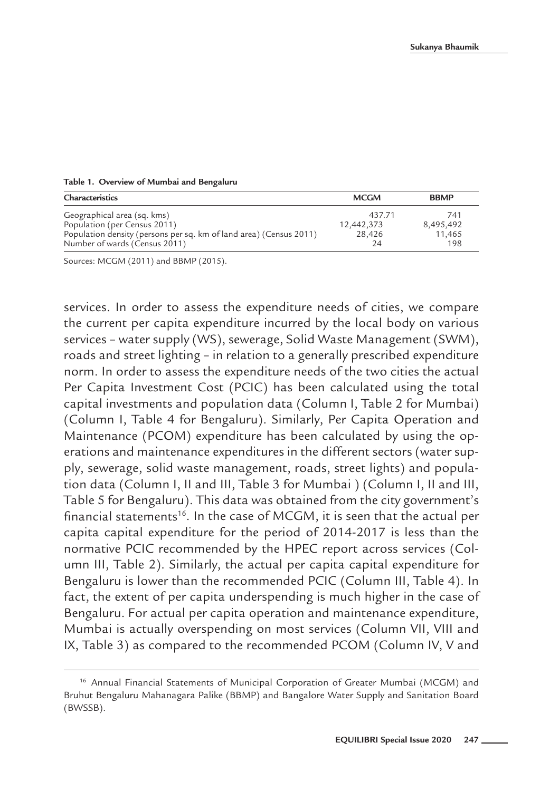| Characteristics                                                    | <b>MCGM</b> | <b>BBMP</b> |
|--------------------------------------------------------------------|-------------|-------------|
| Geographical area (sq. kms)                                        | 437 71      | 741         |
| Population (per Census 2011)                                       | 12,442,373  | 8,495,492   |
| Population density (persons per sq. km of land area) (Census 2011) | 28,426      | 11.465      |
| Number of wards (Census 2011)                                      | 24          | 198         |

#### **Table 1. Overview of Mumbai and Bengaluru**

Sources: MCGM (2011) and BBMP (2015).

services. In order to assess the expenditure needs of cities, we compare the current per capita expenditure incurred by the local body on various services – water supply (WS), sewerage, Solid Waste Management (SWM), roads and street lighting – in relation to a generally prescribed expenditure norm. In order to assess the expenditure needs of the two cities the actual Per Capita Investment Cost (PCIC) has been calculated using the total capital investments and population data (Column I, Table 2 for Mumbai) (Column I, Table 4 for Bengaluru). Similarly, Per Capita Operation and Maintenance (PCOM) expenditure has been calculated by using the operations and maintenance expenditures in the different sectors (water supply, sewerage, solid waste management, roads, street lights) and population data (Column I, II and III, Table 3 for Mumbai ) (Column I, II and III, Table 5 for Bengaluru). This data was obtained from the city government's financial statements<sup>16</sup>. In the case of MCGM, it is seen that the actual per capita capital expenditure for the period of 2014-2017 is less than the normative PCIC recommended by the HPEC report across services (Column III, Table 2). Similarly, the actual per capita capital expenditure for Bengaluru is lower than the recommended PCIC (Column III, Table 4). In fact, the extent of per capita underspending is much higher in the case of Bengaluru. For actual per capita operation and maintenance expenditure, Mumbai is actually overspending on most services (Column VII, VIII and IX, Table 3) as compared to the recommended PCOM (Column IV, V and

<sup>&</sup>lt;sup>16</sup> Annual Financial Statements of Municipal Corporation of Greater Mumbai (MCGM) and Bruhut Bengaluru Mahanagara Palike (BBMP) and Bangalore Water Supply and Sanitation Board (BWSSB).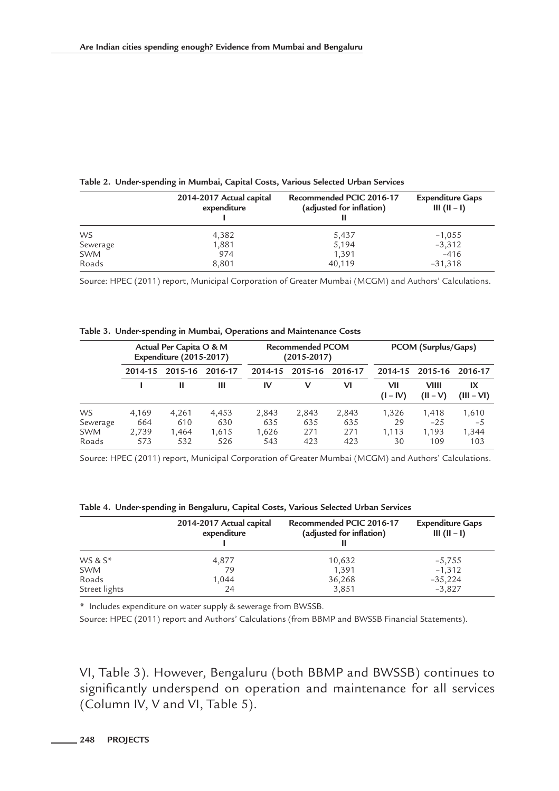**Table 2. Under-spending in Mumbai, Capital Costs, Various Selected Urban Services**

|            | 2014-2017 Actual capital<br>expenditure | Recommended PCIC 2016-17<br>(adjusted for inflation) | <b>Expenditure Gaps</b><br>III $(II - I)$ |
|------------|-----------------------------------------|------------------------------------------------------|-------------------------------------------|
| <b>WS</b>  | 4,382                                   | 5,437                                                | $-1,055$                                  |
| Sewerage   | 1,881                                   | 5,194                                                | $-3,312$                                  |
| <b>SWM</b> | 974                                     | 1.391                                                | $-416$                                    |
| Roads      | 8,801                                   | 40,119                                               | $-31,318$                                 |

Source: HPEC (2011) report, Municipal Corporation of Greater Mumbai (MCGM) and Authors' Calculations.

|                                              | Actual Per Capita O & M<br><b>Expenditure (2015-2017)</b> |                              | <b>Recommended PCOM</b><br>$(2015 - 2017)$ |                              |                            | PCOM (Surplus/Gaps)        |                            |                                |                               |
|----------------------------------------------|-----------------------------------------------------------|------------------------------|--------------------------------------------|------------------------------|----------------------------|----------------------------|----------------------------|--------------------------------|-------------------------------|
|                                              | 2015-16<br>2014-15                                        |                              | 2016-17                                    | 2014-15                      | 2015-16                    |                            |                            | 2014-15 2015-16                | 2016-17                       |
|                                              |                                                           | н                            | Ш                                          | IV                           | v                          | VI                         | VII<br>$(I - IV)$          | VIIII<br>$(II - V)$            | IX<br>$(III - VI)$            |
| <b>WS</b><br>Sewerage<br><b>SWM</b><br>Roads | 4,169<br>664<br>2,739<br>573                              | 4,261<br>610<br>1,464<br>532 | 4,453<br>630<br>1,615<br>526               | 2,843<br>635<br>1,626<br>543 | 2,843<br>635<br>271<br>423 | 2,843<br>635<br>271<br>423 | 1,326<br>29<br>1,113<br>30 | 1,418<br>$-25$<br>1,193<br>109 | 1,610<br>$-5$<br>1,344<br>103 |

Source: HPEC (2011) report, Municipal Corporation of Greater Mumbai (MCGM) and Authors' Calculations.

|  | Table 4.  Under-spending in Bengaluru, Capital Costs, Various Selected Urban Services |  |  |  |  |  |  |  |
|--|---------------------------------------------------------------------------------------|--|--|--|--|--|--|--|
|--|---------------------------------------------------------------------------------------|--|--|--|--|--|--|--|

|               | 2014-2017 Actual capital | Recommended PCIC 2016-17 | <b>Expenditure Gaps</b> |
|---------------|--------------------------|--------------------------|-------------------------|
|               | expenditure              | (adjusted for inflation) | III $(II - I)$          |
| WS & S*       | 4,877                    | 10,632                   | $-5,755$                |
| <b>SWM</b>    | 79                       | 1,391                    | $-1,312$                |
| Roads         | 1,044                    | 36,268                   | $-35,224$               |
| Street lights | 24                       | 3,851                    | $-3,827$                |

\* Includes expenditure on water supply & sewerage from BWSSB.

Source: HPEC (2011) report and Authors' Calculations (from BBMP and BWSSB Financial Statements).

VI, Table 3). However, Bengaluru (both BBMP and BWSSB) continues to significantly underspend on operation and maintenance for all services (Column IV, V and VI, Table 5).